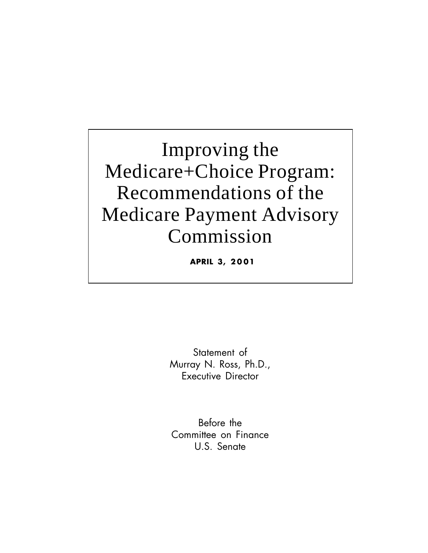Improving the Medicare+Choice Program: Recommendations of the Medicare Payment Advisory Commission

**APRIL 3, 2 0 01**

Statement of Murray N. Ross, Ph.D., Executive Director

Before the Committee on Finance U.S. Senate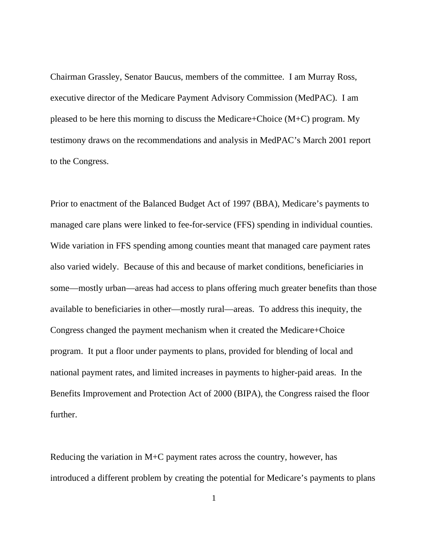Chairman Grassley, Senator Baucus, members of the committee. I am Murray Ross, executive director of the Medicare Payment Advisory Commission (MedPAC). I am pleased to be here this morning to discuss the Medicare+Choice (M+C) program. My testimony draws on the recommendations and analysis in MedPAC's March 2001 report to the Congress.

Prior to enactment of the Balanced Budget Act of 1997 (BBA), Medicare's payments to managed care plans were linked to fee-for-service (FFS) spending in individual counties. Wide variation in FFS spending among counties meant that managed care payment rates also varied widely. Because of this and because of market conditions, beneficiaries in some—mostly urban—areas had access to plans offering much greater benefits than those available to beneficiaries in other—mostly rural—areas. To address this inequity, the Congress changed the payment mechanism when it created the Medicare+Choice program. It put a floor under payments to plans, provided for blending of local and national payment rates, and limited increases in payments to higher-paid areas. In the Benefits Improvement and Protection Act of 2000 (BIPA), the Congress raised the floor further.

Reducing the variation in M+C payment rates across the country, however, has introduced a different problem by creating the potential for Medicare's payments to plans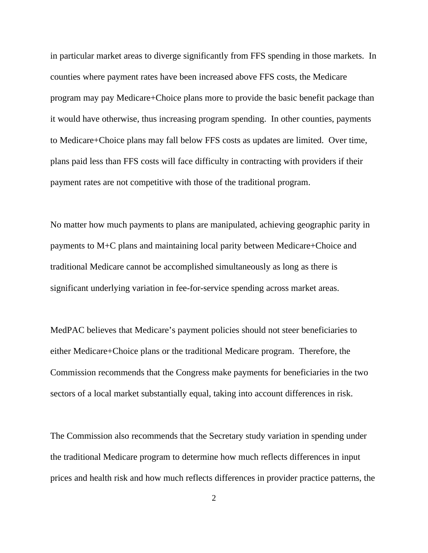in particular market areas to diverge significantly from FFS spending in those markets. In counties where payment rates have been increased above FFS costs, the Medicare program may pay Medicare+Choice plans more to provide the basic benefit package than it would have otherwise, thus increasing program spending. In other counties, payments to Medicare+Choice plans may fall below FFS costs as updates are limited. Over time, plans paid less than FFS costs will face difficulty in contracting with providers if their payment rates are not competitive with those of the traditional program.

No matter how much payments to plans are manipulated, achieving geographic parity in payments to M+C plans and maintaining local parity between Medicare+Choice and traditional Medicare cannot be accomplished simultaneously as long as there is significant underlying variation in fee-for-service spending across market areas.

MedPAC believes that Medicare's payment policies should not steer beneficiaries to either Medicare+Choice plans or the traditional Medicare program. Therefore, the Commission recommends that the Congress make payments for beneficiaries in the two sectors of a local market substantially equal, taking into account differences in risk.

The Commission also recommends that the Secretary study variation in spending under the traditional Medicare program to determine how much reflects differences in input prices and health risk and how much reflects differences in provider practice patterns, the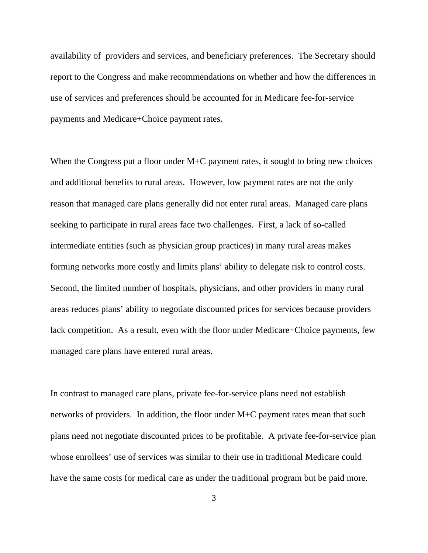availability of providers and services, and beneficiary preferences. The Secretary should report to the Congress and make recommendations on whether and how the differences in use of services and preferences should be accounted for in Medicare fee-for-service payments and Medicare+Choice payment rates.

When the Congress put a floor under M+C payment rates, it sought to bring new choices and additional benefits to rural areas. However, low payment rates are not the only reason that managed care plans generally did not enter rural areas. Managed care plans seeking to participate in rural areas face two challenges. First, a lack of so-called intermediate entities (such as physician group practices) in many rural areas makes forming networks more costly and limits plans' ability to delegate risk to control costs. Second, the limited number of hospitals, physicians, and other providers in many rural areas reduces plans' ability to negotiate discounted prices for services because providers lack competition. As a result, even with the floor under Medicare+Choice payments, few managed care plans have entered rural areas.

In contrast to managed care plans, private fee-for-service plans need not establish networks of providers. In addition, the floor under M+C payment rates mean that such plans need not negotiate discounted prices to be profitable. A private fee-for-service plan whose enrollees' use of services was similar to their use in traditional Medicare could have the same costs for medical care as under the traditional program but be paid more.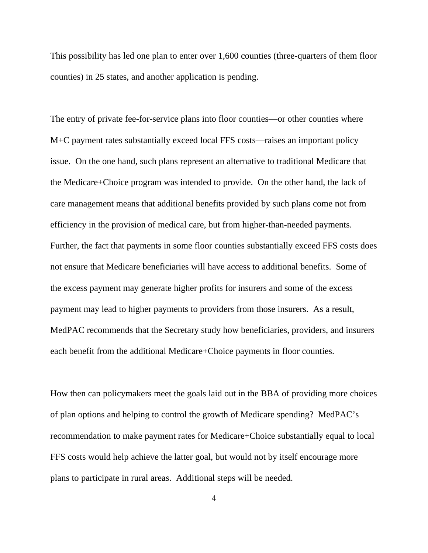This possibility has led one plan to enter over 1,600 counties (three-quarters of them floor counties) in 25 states, and another application is pending.

The entry of private fee-for-service plans into floor counties—or other counties where M+C payment rates substantially exceed local FFS costs—raises an important policy issue. On the one hand, such plans represent an alternative to traditional Medicare that the Medicare+Choice program was intended to provide. On the other hand, the lack of care management means that additional benefits provided by such plans come not from efficiency in the provision of medical care, but from higher-than-needed payments. Further, the fact that payments in some floor counties substantially exceed FFS costs does not ensure that Medicare beneficiaries will have access to additional benefits. Some of the excess payment may generate higher profits for insurers and some of the excess payment may lead to higher payments to providers from those insurers. As a result, MedPAC recommends that the Secretary study how beneficiaries, providers, and insurers each benefit from the additional Medicare+Choice payments in floor counties.

How then can policymakers meet the goals laid out in the BBA of providing more choices of plan options and helping to control the growth of Medicare spending? MedPAC's recommendation to make payment rates for Medicare+Choice substantially equal to local FFS costs would help achieve the latter goal, but would not by itself encourage more plans to participate in rural areas. Additional steps will be needed.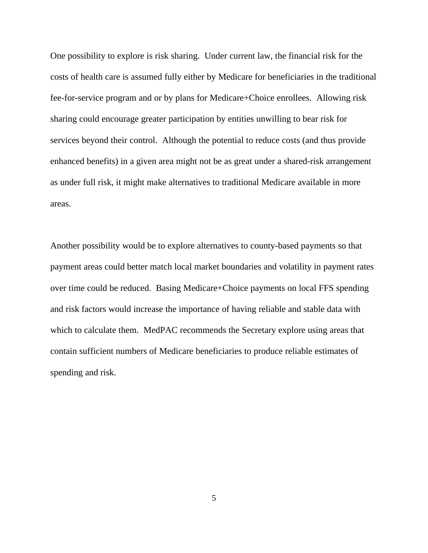One possibility to explore is risk sharing. Under current law, the financial risk for the costs of health care is assumed fully either by Medicare for beneficiaries in the traditional fee-for-service program and or by plans for Medicare+Choice enrollees. Allowing risk sharing could encourage greater participation by entities unwilling to bear risk for services beyond their control. Although the potential to reduce costs (and thus provide enhanced benefits) in a given area might not be as great under a shared-risk arrangement as under full risk, it might make alternatives to traditional Medicare available in more areas.

Another possibility would be to explore alternatives to county-based payments so that payment areas could better match local market boundaries and volatility in payment rates over time could be reduced. Basing Medicare+Choice payments on local FFS spending and risk factors would increase the importance of having reliable and stable data with which to calculate them. MedPAC recommends the Secretary explore using areas that contain sufficient numbers of Medicare beneficiaries to produce reliable estimates of spending and risk.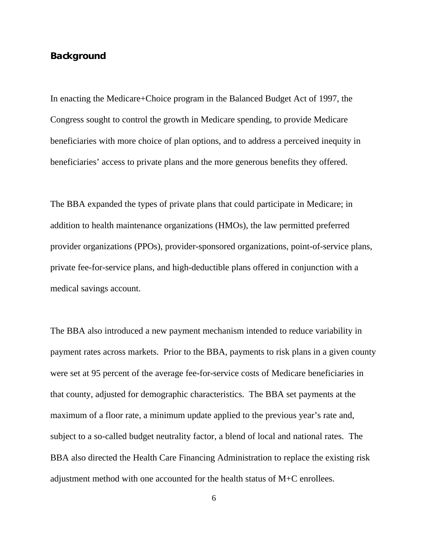## **Background**

In enacting the Medicare+Choice program in the Balanced Budget Act of 1997, the Congress sought to control the growth in Medicare spending, to provide Medicare beneficiaries with more choice of plan options, and to address a perceived inequity in beneficiaries' access to private plans and the more generous benefits they offered.

The BBA expanded the types of private plans that could participate in Medicare; in addition to health maintenance organizations (HMOs), the law permitted preferred provider organizations (PPOs), provider-sponsored organizations, point-of-service plans, private fee-for-service plans, and high-deductible plans offered in conjunction with a medical savings account.

The BBA also introduced a new payment mechanism intended to reduce variability in payment rates across markets. Prior to the BBA, payments to risk plans in a given county were set at 95 percent of the average fee-for-service costs of Medicare beneficiaries in that county, adjusted for demographic characteristics. The BBA set payments at the maximum of a floor rate, a minimum update applied to the previous year's rate and, subject to a so-called budget neutrality factor, a blend of local and national rates. The BBA also directed the Health Care Financing Administration to replace the existing risk adjustment method with one accounted for the health status of M+C enrollees.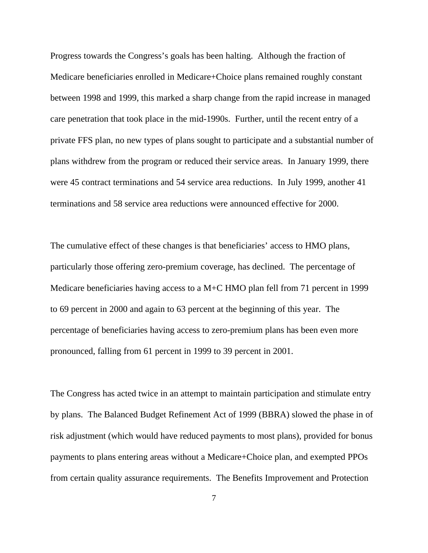Progress towards the Congress's goals has been halting. Although the fraction of Medicare beneficiaries enrolled in Medicare+Choice plans remained roughly constant between 1998 and 1999, this marked a sharp change from the rapid increase in managed care penetration that took place in the mid-1990s. Further, until the recent entry of a private FFS plan, no new types of plans sought to participate and a substantial number of plans withdrew from the program or reduced their service areas. In January 1999, there were 45 contract terminations and 54 service area reductions. In July 1999, another 41 terminations and 58 service area reductions were announced effective for 2000.

The cumulative effect of these changes is that beneficiaries' access to HMO plans, particularly those offering zero-premium coverage, has declined. The percentage of Medicare beneficiaries having access to a M+C HMO plan fell from 71 percent in 1999 to 69 percent in 2000 and again to 63 percent at the beginning of this year. The percentage of beneficiaries having access to zero-premium plans has been even more pronounced, falling from 61 percent in 1999 to 39 percent in 2001.

The Congress has acted twice in an attempt to maintain participation and stimulate entry by plans. The Balanced Budget Refinement Act of 1999 (BBRA) slowed the phase in of risk adjustment (which would have reduced payments to most plans), provided for bonus payments to plans entering areas without a Medicare+Choice plan, and exempted PPOs from certain quality assurance requirements. The Benefits Improvement and Protection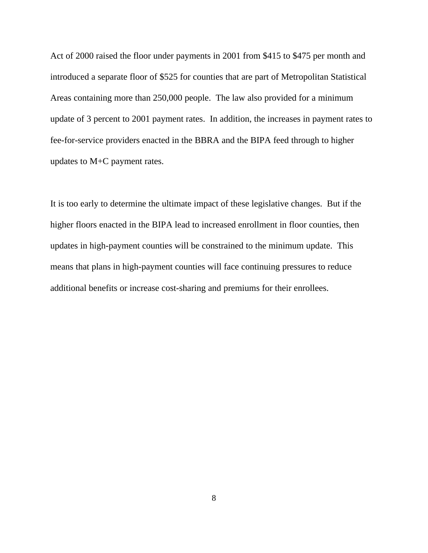Act of 2000 raised the floor under payments in 2001 from \$415 to \$475 per month and introduced a separate floor of \$525 for counties that are part of Metropolitan Statistical Areas containing more than 250,000 people. The law also provided for a minimum update of 3 percent to 2001 payment rates. In addition, the increases in payment rates to fee-for-service providers enacted in the BBRA and the BIPA feed through to higher updates to M+C payment rates.

It is too early to determine the ultimate impact of these legislative changes. But if the higher floors enacted in the BIPA lead to increased enrollment in floor counties, then updates in high-payment counties will be constrained to the minimum update. This means that plans in high-payment counties will face continuing pressures to reduce additional benefits or increase cost-sharing and premiums for their enrollees.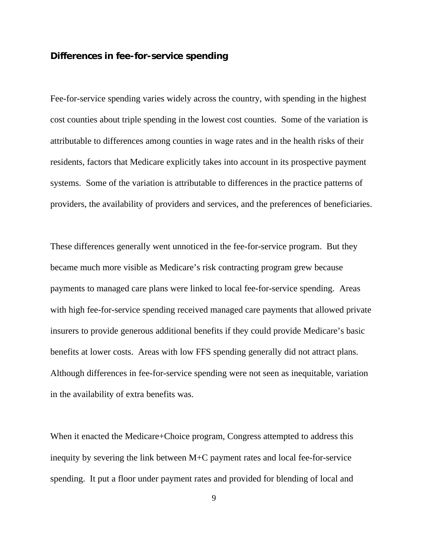## **Differences in fee-for-service spending**

Fee-for-service spending varies widely across the country, with spending in the highest cost counties about triple spending in the lowest cost counties. Some of the variation is attributable to differences among counties in wage rates and in the health risks of their residents, factors that Medicare explicitly takes into account in its prospective payment systems. Some of the variation is attributable to differences in the practice patterns of providers, the availability of providers and services, and the preferences of beneficiaries.

These differences generally went unnoticed in the fee-for-service program. But they became much more visible as Medicare's risk contracting program grew because payments to managed care plans were linked to local fee-for-service spending. Areas with high fee-for-service spending received managed care payments that allowed private insurers to provide generous additional benefits if they could provide Medicare's basic benefits at lower costs. Areas with low FFS spending generally did not attract plans. Although differences in fee-for-service spending were not seen as inequitable, variation in the availability of extra benefits was.

When it enacted the Medicare+Choice program, Congress attempted to address this inequity by severing the link between M+C payment rates and local fee-for-service spending. It put a floor under payment rates and provided for blending of local and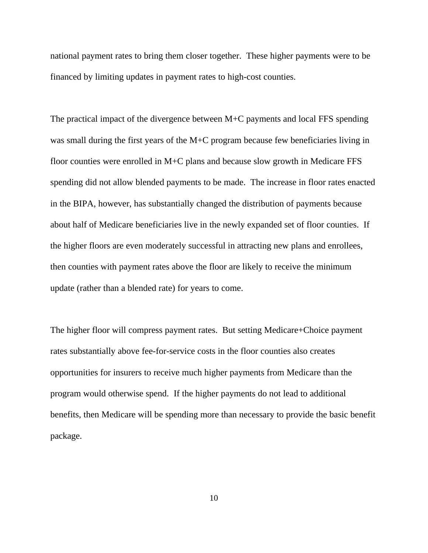national payment rates to bring them closer together. These higher payments were to be financed by limiting updates in payment rates to high-cost counties.

The practical impact of the divergence between M+C payments and local FFS spending was small during the first years of the M+C program because few beneficiaries living in floor counties were enrolled in M+C plans and because slow growth in Medicare FFS spending did not allow blended payments to be made. The increase in floor rates enacted in the BIPA, however, has substantially changed the distribution of payments because about half of Medicare beneficiaries live in the newly expanded set of floor counties. If the higher floors are even moderately successful in attracting new plans and enrollees, then counties with payment rates above the floor are likely to receive the minimum update (rather than a blended rate) for years to come.

The higher floor will compress payment rates. But setting Medicare+Choice payment rates substantially above fee-for-service costs in the floor counties also creates opportunities for insurers to receive much higher payments from Medicare than the program would otherwise spend. If the higher payments do not lead to additional benefits, then Medicare will be spending more than necessary to provide the basic benefit package.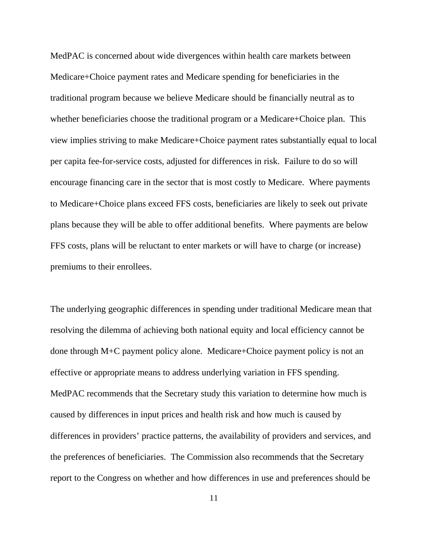MedPAC is concerned about wide divergences within health care markets between Medicare+Choice payment rates and Medicare spending for beneficiaries in the traditional program because we believe Medicare should be financially neutral as to whether beneficiaries choose the traditional program or a Medicare+Choice plan. This view implies striving to make Medicare+Choice payment rates substantially equal to local per capita fee-for-service costs, adjusted for differences in risk. Failure to do so will encourage financing care in the sector that is most costly to Medicare. Where payments to Medicare+Choice plans exceed FFS costs, beneficiaries are likely to seek out private plans because they will be able to offer additional benefits. Where payments are below FFS costs, plans will be reluctant to enter markets or will have to charge (or increase) premiums to their enrollees.

The underlying geographic differences in spending under traditional Medicare mean that resolving the dilemma of achieving both national equity and local efficiency cannot be done through M+C payment policy alone. Medicare+Choice payment policy is not an effective or appropriate means to address underlying variation in FFS spending. MedPAC recommends that the Secretary study this variation to determine how much is caused by differences in input prices and health risk and how much is caused by differences in providers' practice patterns, the availability of providers and services, and the preferences of beneficiaries. The Commission also recommends that the Secretary report to the Congress on whether and how differences in use and preferences should be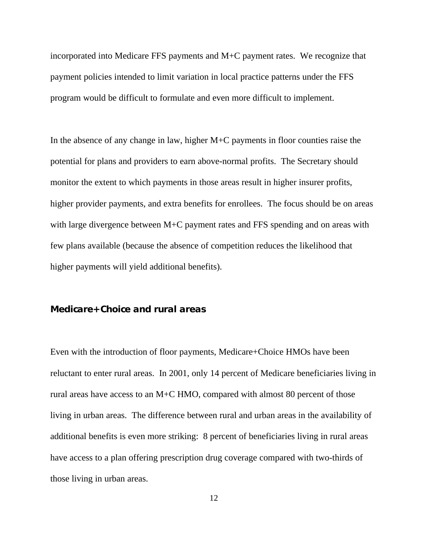incorporated into Medicare FFS payments and M+C payment rates. We recognize that payment policies intended to limit variation in local practice patterns under the FFS program would be difficult to formulate and even more difficult to implement.

In the absence of any change in law, higher M+C payments in floor counties raise the potential for plans and providers to earn above-normal profits. The Secretary should monitor the extent to which payments in those areas result in higher insurer profits, higher provider payments, and extra benefits for enrollees. The focus should be on areas with large divergence between M+C payment rates and FFS spending and on areas with few plans available (because the absence of competition reduces the likelihood that higher payments will yield additional benefits).

## **Medicare+Choice and rural areas**

Even with the introduction of floor payments, Medicare+Choice HMOs have been reluctant to enter rural areas. In 2001, only 14 percent of Medicare beneficiaries living in rural areas have access to an M+C HMO, compared with almost 80 percent of those living in urban areas. The difference between rural and urban areas in the availability of additional benefits is even more striking: 8 percent of beneficiaries living in rural areas have access to a plan offering prescription drug coverage compared with two-thirds of those living in urban areas.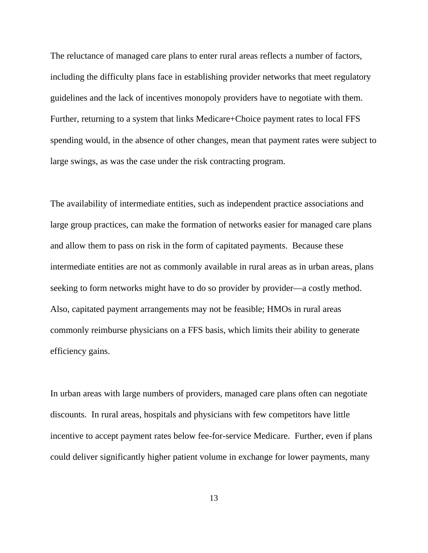The reluctance of managed care plans to enter rural areas reflects a number of factors, including the difficulty plans face in establishing provider networks that meet regulatory guidelines and the lack of incentives monopoly providers have to negotiate with them. Further, returning to a system that links Medicare+Choice payment rates to local FFS spending would, in the absence of other changes, mean that payment rates were subject to large swings, as was the case under the risk contracting program.

The availability of intermediate entities, such as independent practice associations and large group practices, can make the formation of networks easier for managed care plans and allow them to pass on risk in the form of capitated payments. Because these intermediate entities are not as commonly available in rural areas as in urban areas, plans seeking to form networks might have to do so provider by provider—a costly method. Also, capitated payment arrangements may not be feasible; HMOs in rural areas commonly reimburse physicians on a FFS basis, which limits their ability to generate efficiency gains.

In urban areas with large numbers of providers, managed care plans often can negotiate discounts. In rural areas, hospitals and physicians with few competitors have little incentive to accept payment rates below fee-for-service Medicare. Further, even if plans could deliver significantly higher patient volume in exchange for lower payments, many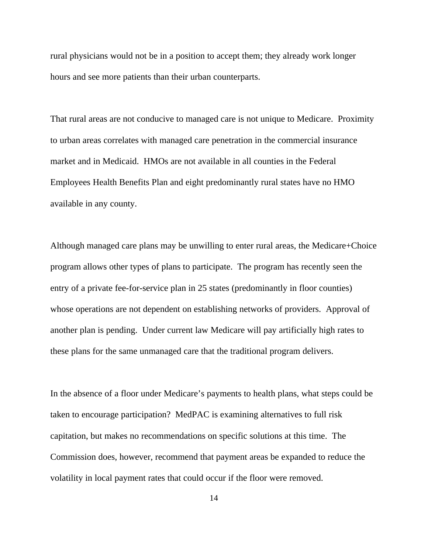rural physicians would not be in a position to accept them; they already work longer hours and see more patients than their urban counterparts.

That rural areas are not conducive to managed care is not unique to Medicare. Proximity to urban areas correlates with managed care penetration in the commercial insurance market and in Medicaid. HMOs are not available in all counties in the Federal Employees Health Benefits Plan and eight predominantly rural states have no HMO available in any county.

Although managed care plans may be unwilling to enter rural areas, the Medicare+Choice program allows other types of plans to participate. The program has recently seen the entry of a private fee-for-service plan in 25 states (predominantly in floor counties) whose operations are not dependent on establishing networks of providers. Approval of another plan is pending. Under current law Medicare will pay artificially high rates to these plans for the same unmanaged care that the traditional program delivers.

In the absence of a floor under Medicare's payments to health plans, what steps could be taken to encourage participation? MedPAC is examining alternatives to full risk capitation, but makes no recommendations on specific solutions at this time. The Commission does, however, recommend that payment areas be expanded to reduce the volatility in local payment rates that could occur if the floor were removed.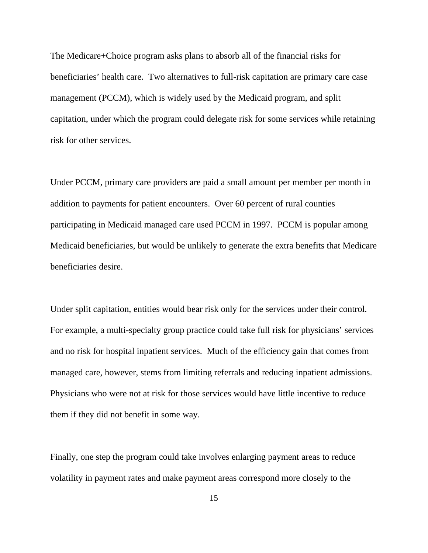The Medicare+Choice program asks plans to absorb all of the financial risks for beneficiaries' health care. Two alternatives to full-risk capitation are primary care case management (PCCM), which is widely used by the Medicaid program, and split capitation, under which the program could delegate risk for some services while retaining risk for other services.

Under PCCM, primary care providers are paid a small amount per member per month in addition to payments for patient encounters. Over 60 percent of rural counties participating in Medicaid managed care used PCCM in 1997. PCCM is popular among Medicaid beneficiaries, but would be unlikely to generate the extra benefits that Medicare beneficiaries desire.

Under split capitation, entities would bear risk only for the services under their control. For example, a multi-specialty group practice could take full risk for physicians' services and no risk for hospital inpatient services. Much of the efficiency gain that comes from managed care, however, stems from limiting referrals and reducing inpatient admissions. Physicians who were not at risk for those services would have little incentive to reduce them if they did not benefit in some way.

Finally, one step the program could take involves enlarging payment areas to reduce volatility in payment rates and make payment areas correspond more closely to the